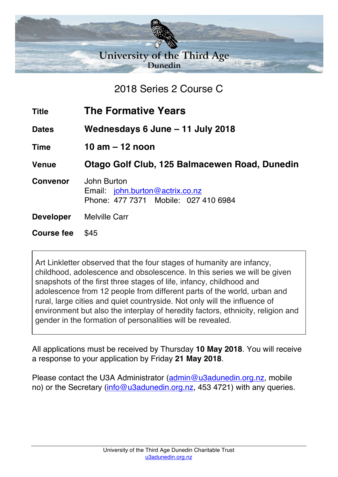

2018 Series 2 Course C

| <b>Title</b>      | <b>The Formative Years</b>                                                             |
|-------------------|----------------------------------------------------------------------------------------|
| <b>Dates</b>      | Wednesdays 6 June – 11 July 2018                                                       |
| <b>Time</b>       | 10 am $-$ 12 noon                                                                      |
| <b>Venue</b>      | Otago Golf Club, 125 Balmacewen Road, Dunedin                                          |
| <b>Convenor</b>   | John Burton<br>Email: john.burton@actrix.co.nz<br>Phone: 477 7371 Mobile: 027 410 6984 |
| <b>Developer</b>  | <b>Melville Carr</b>                                                                   |
| <b>Course fee</b> | \$45                                                                                   |
|                   |                                                                                        |

Art Linkletter observed that the four stages of humanity are infancy, childhood, adolescence and obsolescence. In this series we will be given snapshots of the first three stages of life, infancy, childhood and adolescence from 12 people from different parts of the world, urban and rural, large cities and quiet countryside. Not only will the influence of environment but also the interplay of heredity factors, ethnicity, religion and gender in the formation of personalities will be revealed.

All applications must be received by Thursday **10 May 2018**. You will receive a response to your application by Friday **21 May 2018**.

Please contact the U3A Administrator (admin@u3adunedin.org.nz, mobile no) or the Secretary (info@u3adunedin.org.nz, 453 4721) with any queries.